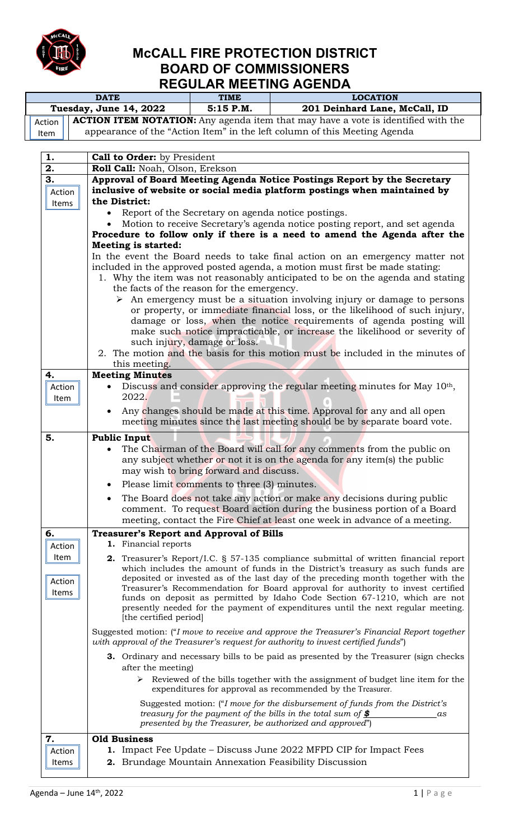

## **McCALL FIRE PROTECTION DISTRICT BOARD OF COMMISSIONERS REGULAR MEETING AGENDA**

|                        |                | <b>DATE</b> | <b>TIME</b> | <b>LOCATION</b>                                                                                                                                                       |  |
|------------------------|----------------|-------------|-------------|-----------------------------------------------------------------------------------------------------------------------------------------------------------------------|--|
| Tuesday, June 14, 2022 |                |             | $5:15$ P.M. | 201 Deinhard Lane, McCall, ID                                                                                                                                         |  |
|                        | Action<br>Item |             |             | <b>ACTION ITEM NOTATION:</b> Any agenda item that may have a vote is identified with the<br>appearance of the "Action Item" in the left column of this Meeting Agenda |  |
|                        |                |             |             |                                                                                                                                                                       |  |

| 1.                      | Call to Order: by President                                                                                                                                                                                                                                                                                                                                                                                                                                                                                                                                                                                                |
|-------------------------|----------------------------------------------------------------------------------------------------------------------------------------------------------------------------------------------------------------------------------------------------------------------------------------------------------------------------------------------------------------------------------------------------------------------------------------------------------------------------------------------------------------------------------------------------------------------------------------------------------------------------|
| 2.                      | Roll Call: Noah, Olson, Erekson                                                                                                                                                                                                                                                                                                                                                                                                                                                                                                                                                                                            |
| 3.                      | Approval of Board Meeting Agenda Notice Postings Report by the Secretary                                                                                                                                                                                                                                                                                                                                                                                                                                                                                                                                                   |
| Action                  | inclusive of website or social media platform postings when maintained by                                                                                                                                                                                                                                                                                                                                                                                                                                                                                                                                                  |
| Items                   | the District:                                                                                                                                                                                                                                                                                                                                                                                                                                                                                                                                                                                                              |
|                         | Report of the Secretary on agenda notice postings.                                                                                                                                                                                                                                                                                                                                                                                                                                                                                                                                                                         |
|                         | Motion to receive Secretary's agenda notice posting report, and set agenda                                                                                                                                                                                                                                                                                                                                                                                                                                                                                                                                                 |
|                         | Procedure to follow only if there is a need to amend the Agenda after the                                                                                                                                                                                                                                                                                                                                                                                                                                                                                                                                                  |
|                         | <b>Meeting is started:</b>                                                                                                                                                                                                                                                                                                                                                                                                                                                                                                                                                                                                 |
|                         | In the event the Board needs to take final action on an emergency matter not<br>included in the approved posted agenda, a motion must first be made stating:<br>1. Why the item was not reasonably anticipated to be on the agenda and stating<br>the facts of the reason for the emergency.<br>$\triangleright$ An emergency must be a situation involving injury or damage to persons<br>or property, or immediate financial loss, or the likelihood of such injury,<br>damage or loss, when the notice requirements of agenda posting will<br>make such notice impracticable, or increase the likelihood or severity of |
|                         | such injury, damage or loss.<br>2. The motion and the basis for this motion must be included in the minutes of                                                                                                                                                                                                                                                                                                                                                                                                                                                                                                             |
|                         | this meeting.                                                                                                                                                                                                                                                                                                                                                                                                                                                                                                                                                                                                              |
| 4.                      | <b>Meeting Minutes</b>                                                                                                                                                                                                                                                                                                                                                                                                                                                                                                                                                                                                     |
| Action                  | Discuss and consider approving the regular meeting minutes for May 10th,                                                                                                                                                                                                                                                                                                                                                                                                                                                                                                                                                   |
| Item                    | 2022.                                                                                                                                                                                                                                                                                                                                                                                                                                                                                                                                                                                                                      |
|                         | Any changes should be made at this time. Approval for any and all open                                                                                                                                                                                                                                                                                                                                                                                                                                                                                                                                                     |
|                         | meeting minutes since the last meeting should be by separate board vote.                                                                                                                                                                                                                                                                                                                                                                                                                                                                                                                                                   |
| 5.                      | <b>Public Input</b>                                                                                                                                                                                                                                                                                                                                                                                                                                                                                                                                                                                                        |
|                         | The Chairman of the Board will call for any comments from the public on<br>any subject whether or not it is on the agenda for any item(s) the public<br>may wish to bring forward and discuss.<br>Please limit comments to three (3) minutes.<br>$\bullet$<br>The Board does not take any action or make any decisions during public                                                                                                                                                                                                                                                                                       |
|                         | comment. To request Board action during the business portion of a Board<br>meeting, contact the Fire Chief at least one week in advance of a meeting.                                                                                                                                                                                                                                                                                                                                                                                                                                                                      |
| 6.                      | <b>Treasurer's Report and Approval of Bills</b>                                                                                                                                                                                                                                                                                                                                                                                                                                                                                                                                                                            |
| Action                  | 1. Financial reports                                                                                                                                                                                                                                                                                                                                                                                                                                                                                                                                                                                                       |
| Item<br>Action<br>Items | <b>2.</b> Treasurer's Report/I.C. § 57-135 compliance submittal of written financial report<br>which includes the amount of funds in the District's treasury as such funds are<br>deposited or invested as of the last day of the preceding month together with the<br>Treasurer's Recommendation for Board approval for authority to invest certified<br>funds on deposit as permitted by Idaho Code Section 67-1210, which are not<br>presently needed for the payment of expenditures until the next regular meeting.<br>[the certified period]                                                                         |
|                         | Suggested motion: ("I move to receive and approve the Treasurer's Financial Report together<br>with approval of the Treasurer's request for authority to invest certified funds")                                                                                                                                                                                                                                                                                                                                                                                                                                          |
|                         | <b>3.</b> Ordinary and necessary bills to be paid as presented by the Treasurer (sign checks<br>after the meeting)<br>Reviewed of the bills together with the assignment of budget line item for the<br>➤<br>expenditures for approval as recommended by the Treasurer.                                                                                                                                                                                                                                                                                                                                                    |
|                         | Suggested motion: ("I move for the disbursement of funds from the District's<br>treasury for the payment of the bills in the total sum of $\frac{\$}{}$<br>as<br>presented by the Treasurer, be authorized and approved")                                                                                                                                                                                                                                                                                                                                                                                                  |
| 7.                      | <b>Old Business</b>                                                                                                                                                                                                                                                                                                                                                                                                                                                                                                                                                                                                        |
| Action                  | <b>1.</b> Impact Fee Update – Discuss June 2022 MFPD CIP for Impact Fees                                                                                                                                                                                                                                                                                                                                                                                                                                                                                                                                                   |
| Items                   | 2. Brundage Mountain Annexation Feasibility Discussion                                                                                                                                                                                                                                                                                                                                                                                                                                                                                                                                                                     |
|                         |                                                                                                                                                                                                                                                                                                                                                                                                                                                                                                                                                                                                                            |